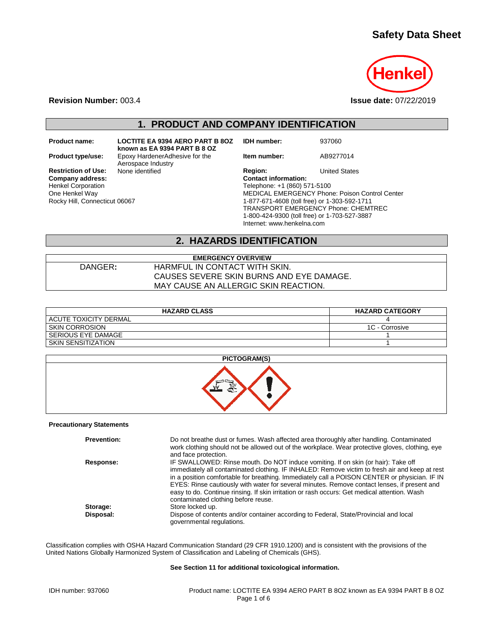# **Safety Data Sheet**



**Revision Number:** 003.4 **Issue date:** 07/22/2019

**1. PRODUCT AND COMPANY IDENTIFICATION**

Henkel Corporation One Henkel Way Rocky Hill, Connecticut 06067

**Product name: LOCTITE EA 9394 AERO PART B 8OZ known as EA 9394 PART B 8 OZ Product type/use:** Epoxy HardenerAdhesive for the Aerospace Industry<br>None identified

**IDH number:** 937060

**Item number:** AB9277014

**Restriction of Use:** None identified **Region:** Region: United States Company address: Company address:  $\overline{\text{Content information}}$ : Telephone: +1 (860) 571-5100 MEDICAL EMERGENCY Phone: Poison Control Center 1-877-671-4608 (toll free) or 1-303-592-1711 TRANSPORT EMERGENCY Phone: CHEMTREC 1-800-424-9300 (toll free) or 1-703-527-3887 Internet: www.henkelna.com

## **2. HAZARDS IDENTIFICATION**

| <b>EMERGENCY OVERVIEW</b> |                                          |  |  |
|---------------------------|------------------------------------------|--|--|
| DANGER:                   | HARMFUL IN CONTACT WITH SKIN.            |  |  |
|                           | CAUSES SEVERE SKIN BURNS AND EYE DAMAGE. |  |  |
|                           | MAY CAUSE AN ALLERGIC SKIN REACTION.     |  |  |

| <b>HAZARD CLASS</b>       | <b>HAZARD CATEGORY</b> |
|---------------------------|------------------------|
| I ACUTE TOXICITY DERMAL   |                        |
| I SKIN CORROSION          | 1C - Corrosive         |
| I SERIOUS EYE DAMAGE      |                        |
| <b>SKIN SENSITIZATION</b> |                        |



#### **Precautionary Statements**

| <b>Prevention:</b> | Do not breathe dust or fumes. Wash affected area thoroughly after handling. Contaminated<br>work clothing should not be allowed out of the workplace. Wear protective gloves, clothing, eye<br>and face protection.                                                                                                                                                                                                                                                                                                         |
|--------------------|-----------------------------------------------------------------------------------------------------------------------------------------------------------------------------------------------------------------------------------------------------------------------------------------------------------------------------------------------------------------------------------------------------------------------------------------------------------------------------------------------------------------------------|
| Response:          | IF SWALLOWED: Rinse mouth. Do NOT induce vomiting. If on skin (or hair): Take off<br>immediately all contaminated clothing. IF INHALED: Remove victim to fresh air and keep at rest<br>in a position comfortable for breathing. Immediately call a POISON CENTER or physician. IF IN<br>EYES: Rinse cautiously with water for several minutes. Remove contact lenses, if present and<br>easy to do. Continue rinsing. If skin irritation or rash occurs: Get medical attention. Wash<br>contaminated clothing before reuse. |
| Storage:           | Store locked up.                                                                                                                                                                                                                                                                                                                                                                                                                                                                                                            |
| Disposal:          | Dispose of contents and/or container according to Federal, State/Provincial and local<br>governmental regulations.                                                                                                                                                                                                                                                                                                                                                                                                          |

Classification complies with OSHA Hazard Communication Standard (29 CFR 1910.1200) and is consistent with the provisions of the United Nations Globally Harmonized System of Classification and Labeling of Chemicals (GHS).

#### **See Section 11 for additional toxicological information.**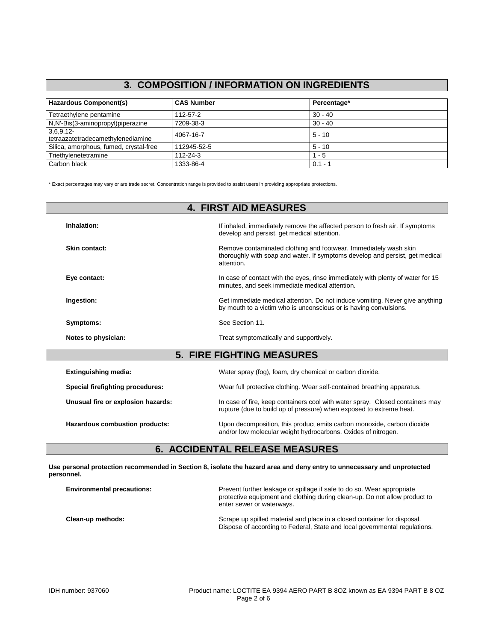## **3. COMPOSITION / INFORMATION ON INGREDIENTS**

| <b>Hazardous Component(s)</b>                 | <b>CAS Number</b> | Percentage* |
|-----------------------------------------------|-------------------|-------------|
| Tetraethylene pentamine                       | 112-57-2          | $30 - 40$   |
| N,N'-Bis(3-aminopropyl)piperazine             | 7209-38-3         | $30 - 40$   |
| 3,6,9,12<br>tetraazatetradecamethylenediamine | 4067-16-7         | $5 - 10$    |
| Silica, amorphous, fumed, crystal-free        | 112945-52-5       | $5 - 10$    |
| Triethylenetetramine                          | 112-24-3          | $1 - 5$     |
| Carbon black                                  | 1333-86-4         | $0.1 - 1$   |

\* Exact percentages may vary or are trade secret. Concentration range is provided to assist users in providing appropriate protections.

| <b>4. FIRST AID MEASURES</b>       |                                                                                                                                                                |  |
|------------------------------------|----------------------------------------------------------------------------------------------------------------------------------------------------------------|--|
| Inhalation:                        | If inhaled, immediately remove the affected person to fresh air. If symptoms<br>develop and persist, get medical attention.                                    |  |
| Skin contact:                      | Remove contaminated clothing and footwear. Immediately wash skin<br>thoroughly with soap and water. If symptoms develop and persist, get medical<br>attention. |  |
| Eye contact:                       | In case of contact with the eyes, rinse immediately with plenty of water for 15<br>minutes, and seek immediate medical attention.                              |  |
| Ingestion:                         | Get immediate medical attention. Do not induce vomiting. Never give anything<br>by mouth to a victim who is unconscious or is having convulsions.              |  |
| Symptoms:                          | See Section 11.                                                                                                                                                |  |
| Notes to physician:                | Treat symptomatically and supportively.                                                                                                                        |  |
|                                    | <b>5. FIRE FIGHTING MEASURES</b>                                                                                                                               |  |
| <b>Extinguishing media:</b>        | Water spray (fog), foam, dry chemical or carbon dioxide.                                                                                                       |  |
| Special firefighting procedures:   | Wear full protective clothing. Wear self-contained breathing apparatus.                                                                                        |  |
| Unusual fire or explosion hazards: | In case of fire, keep containers cool with water spray. Closed containers may<br>rupture (due to build up of pressure) when exposed to extreme heat.           |  |
| Hazardous combustion products:     | Upon decomposition, this product emits carbon monoxide, carbon dioxide                                                                                         |  |

## **6. ACCIDENTAL RELEASE MEASURES**

**Use personal protection recommended in Section 8, isolate the hazard area and deny entry to unnecessary and unprotected personnel.**

| <b>Environmental precautions:</b> | Prevent further leakage or spillage if safe to do so. Wear appropriate<br>protective equipment and clothing during clean-up. Do not allow product to<br>enter sewer or waterways. |
|-----------------------------------|-----------------------------------------------------------------------------------------------------------------------------------------------------------------------------------|
| Clean-up methods:                 | Scrape up spilled material and place in a closed container for disposal.<br>Dispose of according to Federal, State and local governmental regulations.                            |

and/or low molecular weight hydrocarbons. Oxides of nitrogen.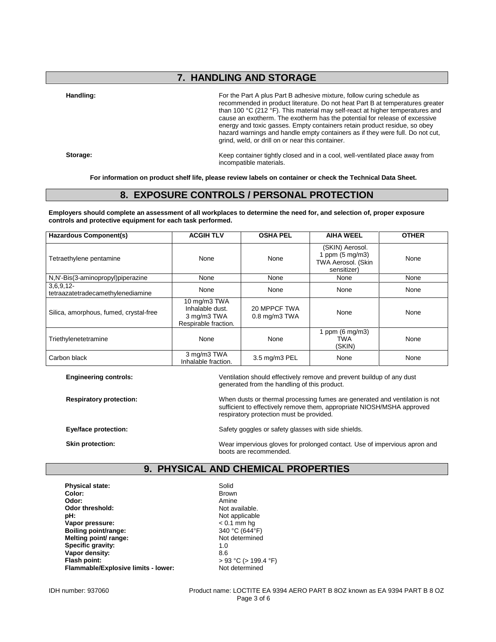## **7. HANDLING AND STORAGE**

**Handling:** For the Part A plus Part B adhesive mixture, follow curing schedule as recommended in product literature. Do not heat Part B at temperatures greater than 100 °C (212 °F). This material may self-react at higher temperatures and cause an exotherm. The exotherm has the potential for release of excessive energy and toxic gasses. Empty containers retain product residue, so obey hazard warnings and handle empty containers as if they were full. Do not cut, grind, weld, or drill on or near this container.

**Storage:** Keep container tightly closed and in a cool, well-ventilated place away from incompatible materials.

**For information on product shelf life, please review labels on container or check the Technical Data Sheet.**

## **8. EXPOSURE CONTROLS / PERSONAL PROTECTION**

**Employers should complete an assessment of all workplaces to determine the need for, and selection of, proper exposure controls and protective equipment for each task performed.**

| <b>Hazardous Component(s)</b>                    | <b>ACGIH TLV</b>                                                       | <b>OSHA PEL</b>                    | <b>AIHA WEEL</b>                                                                  | <b>OTHER</b> |
|--------------------------------------------------|------------------------------------------------------------------------|------------------------------------|-----------------------------------------------------------------------------------|--------------|
| Tetraethylene pentamine                          | None                                                                   | None                               | (SKIN) Aerosol.<br>1 ppm $(5 \text{ mg/m3})$<br>TWA Aerosol. (Skin<br>sensitizer) | None         |
| N,N'-Bis(3-aminopropyl)piperazine                | None                                                                   | None                               | None                                                                              | None         |
| $3,6,9,12-$<br>tetraazatetradecamethylenediamine | None                                                                   | None                               | None                                                                              | None         |
| Silica, amorphous, fumed, crystal-free           | 10 mg/m3 TWA<br>Inhalable dust.<br>3 mg/m3 TWA<br>Respirable fraction. | 20 MPPCF TWA<br>$0.8$ mg/m $3$ TWA | None                                                                              | None         |
| Triethylenetetramine                             | None                                                                   | None                               | 1 ppm $(6 \text{ mg/m3})$<br>TWA<br>(SKIN)                                        | None         |
| Carbon black                                     | 3 mg/m3 TWA<br>Inhalable fraction.                                     | 3.5 mg/m3 PEL                      | None                                                                              | None         |

**Engineering controls:** Ventilation should effectively remove and prevent buildup of any dust generated from the handling of this product.

**Respiratory protection:** When dusts or thermal processing fumes are generated and ventilation is not sufficient to effectively remove them, appropriate NIOSH/MSHA approved respiratory protection must be provided.

**Eye/face protection:** Safety goggles or safety glasses with side shields.

**Skin protection:** Wear impervious gloves for prolonged contact. Use of impervious apron and boots are recommended.

## **9. PHYSICAL AND CHEMICAL PROPERTIES**

**Physical state:** Solid Solid Color: Solid Solid Solid Solid Solid Solid Solid Solid Solid Solid Solid Solid Solid Solid Solid Solid Solid Solid Solid Solid Solid Solid Solid Solid Solid Solid Solid Solid Solid Solid Solid **Color:** Brown **Odor:** Amine **Odor threshold:** Not available.<br> **pH:** Not applicable **Vapor pressure:**  $\leq 0.1$  mm hg<br> **Boiling point/range:**  $\leq 340 °C (644 °F)$ **Boiling point/range:** 340 °C (644<sup>°</sup>F)<br> **Melting point/ range:** Not determined **Melting point/ range:** Not **Specific aravity:** 1.0 **Specific gravity:** 1.0<br> **Vanor density:** 8.6 **Vapor density:**<br>Flash point: **Flammable/Explosive limits - lower:** Not determined

Not applicable<br>< 0.1 mm hg **Flash point:** > 93 °C (> 199.4 °F)

IDH number: 937060 Product name: LOCTITE EA 9394 AERO PART B 8OZ known as EA 9394 PART B 8 OZ Page 3 of 6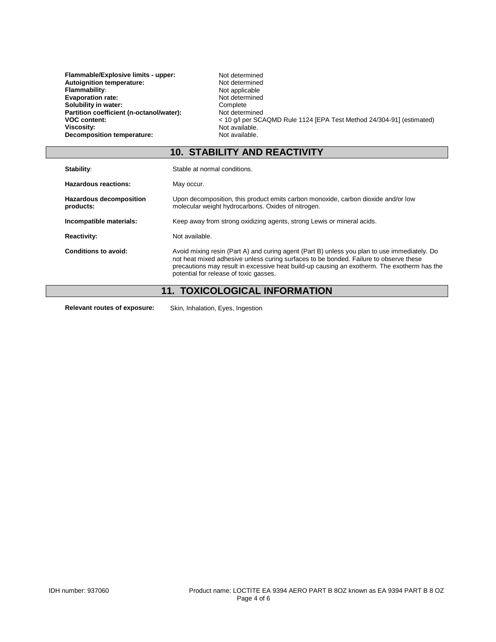| Flammable/Explosive limits - upper:      | Not determined                                                        |
|------------------------------------------|-----------------------------------------------------------------------|
| Autoignition temperature:                | Not determined                                                        |
| <b>Flammability:</b>                     | Not applicable                                                        |
| <b>Evaporation rate:</b>                 | Not determined                                                        |
| Solubility in water:                     | Complete                                                              |
| Partition coefficient (n-octanol/water): | Not determined                                                        |
| <b>VOC content:</b>                      | < 10 g/l per SCAQMD Rule 1124 [EPA Test Method 24/304-91] (estimated) |
| Viscosity:                               | Not available.                                                        |
| Decomposition temperature:               | Not available.                                                        |
|                                          |                                                                       |

# **10. STABILITY AND REACTIVITY**

| Stability:                                  | Stable at normal conditions.                                                                                                                                                                                                                                                                                                   |
|---------------------------------------------|--------------------------------------------------------------------------------------------------------------------------------------------------------------------------------------------------------------------------------------------------------------------------------------------------------------------------------|
| <b>Hazardous reactions:</b>                 | May occur.                                                                                                                                                                                                                                                                                                                     |
| <b>Hazardous decomposition</b><br>products: | Upon decomposition, this product emits carbon monoxide, carbon dioxide and/or low<br>molecular weight hydrocarbons. Oxides of nitrogen.                                                                                                                                                                                        |
| Incompatible materials:                     | Keep away from strong oxidizing agents, strong Lewis or mineral acids.                                                                                                                                                                                                                                                         |
| <b>Reactivity:</b>                          | Not available.                                                                                                                                                                                                                                                                                                                 |
| Conditions to avoid:                        | Avoid mixing resin (Part A) and curing agent (Part B) unless you plan to use immediately. Do<br>not heat mixed adhesive unless curing surfaces to be bonded. Failure to observe these<br>precautions may result in excessive heat build-up causing an exotherm. The exotherm has the<br>potential for release of toxic gasses. |
| 11                                          | TOYICOLOGICAL INEOPMATION                                                                                                                                                                                                                                                                                                      |

## **11. TOXICOLOGICAL INFORMATION**

**Relevant routes of exposure:** Skin, Inhalation, Eyes, Ingestion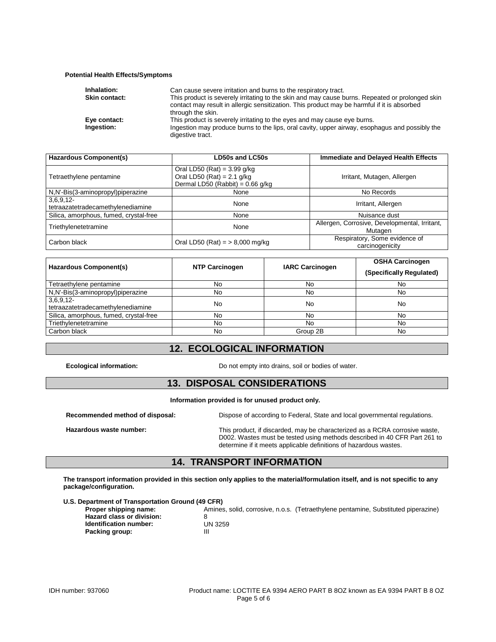#### **Potential Health Effects/Symptoms**

| Inhalation:          | Can cause severe irritation and burns to the respiratory tract.                                                                                                                                                     |
|----------------------|---------------------------------------------------------------------------------------------------------------------------------------------------------------------------------------------------------------------|
| <b>Skin contact:</b> | This product is severely irritating to the skin and may cause burns. Repeated or prolonged skin<br>contact may result in allergic sensitization. This product may be harmful if it is absorbed<br>through the skin. |
| Eye contact:         | This product is severely irritating to the eyes and may cause eye burns.                                                                                                                                            |
| Ingestion:           | Ingestion may produce burns to the lips, oral cavity, upper airway, esophagus and possibly the<br>digestive tract.                                                                                                  |

| <b>Hazardous Component(s)</b>                 | LD50s and LC50s                                                                                     | <b>Immediate and Delayed Health Effects</b>              |
|-----------------------------------------------|-----------------------------------------------------------------------------------------------------|----------------------------------------------------------|
| Tetraethylene pentamine                       | Oral LD50 (Rat) = $3.99$ g/kg<br>Oral LD50 (Rat) = $2.1$ g/kg<br>Dermal LD50 (Rabbit) = $0.66$ g/kg | Irritant, Mutagen, Allergen                              |
| N,N'-Bis(3-aminopropyl)piperazine             | None                                                                                                | No Records                                               |
| 3,6,9,12<br>tetraazatetradecamethylenediamine | None                                                                                                | Irritant, Allergen                                       |
| Silica, amorphous, fumed, crystal-free        | None                                                                                                | Nuisance dust                                            |
| Triethylenetetramine                          | None                                                                                                | Allergen, Corrosive, Developmental, Irritant,<br>Mutagen |
| Carbon black                                  | Oral LD50 (Rat) = $> 8,000$ mg/kg                                                                   | Respiratory, Some evidence of<br>carcinogenicity         |

| <b>Hazardous Component(s)</b>                    | <b>NTP Carcinogen</b> | <b>IARC Carcinogen</b> | <b>OSHA Carcinogen</b><br>(Specifically Regulated) |
|--------------------------------------------------|-----------------------|------------------------|----------------------------------------------------|
| Tetraethylene pentamine                          | No                    | No                     | No                                                 |
| N,N'-Bis(3-aminopropyl)piperazine                | No                    | No                     | No                                                 |
| $3,6,9,12-$<br>tetraazatetradecamethylenediamine | No                    | No                     | <b>No</b>                                          |
| Silica, amorphous, fumed, crystal-free           | No                    | No                     | No                                                 |
| Triethylenetetramine                             | No                    | No                     | No                                                 |
| Carbon black                                     | No                    | Group 2B               | No                                                 |

## **12. ECOLOGICAL INFORMATION**

**Ecological information:** Do not empty into drains, soil or bodies of water.

### **13. DISPOSAL CONSIDERATIONS**

**Information provided is for unused product only.**

**Recommended method of disposal:** Dispose of according to Federal, State and local governmental regulations.

**Hazardous waste number:** This product, if discarded, may be characterized as a RCRA corrosive waste, D002. Wastes must be tested using methods described in 40 CFR Part 261 to determine if it meets applicable definitions of hazardous wastes.

## **14. TRANSPORT INFORMATION**

**The transport information provided in this section only applies to the material/formulation itself, and is not specific to any package/configuration.**

**U.S. Department of Transportation Ground (49 CFR)**

**Hazard class or division:** 8<br> **Identification number:** UN 3259 **Identification number:** UN<br>Packing group: III **Packing group:** 

Amines, solid, corrosive, n.o.s. (Tetraethylene pentamine, Substituted piperazine)<br>8